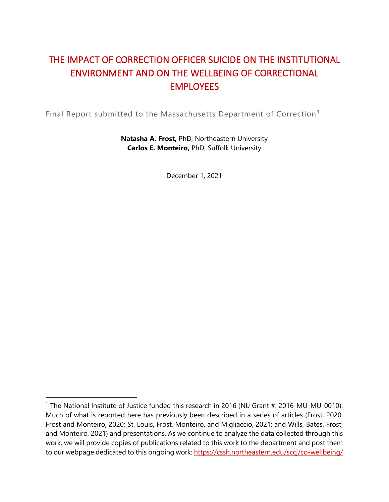# THE IMPACT OF CORRECTION OFFICER SUICIDE ON THE INSTITUTIONAL ENVIRONMENT AND ON THE WELLBEING OF CORRECTIONAL **EMPLOYEES**

Final Report submitted to the Massachusetts Department of Correction<sup>[1](#page-0-0)</sup>

**Natasha A. Frost,** PhD, Northeastern University **Carlos E. Monteiro,** PhD, Suffolk University

December 1, 2021

<span id="page-0-0"></span><sup>&</sup>lt;sup>1</sup> The National Institute of Justice funded this research in 2016 (NIJ Grant #: 2016-MU-MU-0010). Much of what is reported here has previously been described in a series of articles (Frost, 2020; Frost and Monteiro, 2020; St. Louis, Frost, Monteiro, and Migliaccio, 2021; and Wills, Bates, Frost, and Monteiro, 2021) and presentations. As we continue to analyze the data collected through this work, we will provide copies of publications related to this work to the department and post them to our webpage dedicated to this ongoing work:<https://cssh.northeastern.edu/sccj/co-wellbeing/>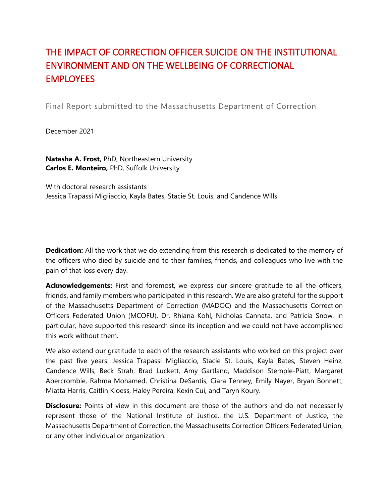# THE IMPACT OF CORRECTION OFFICER SUICIDE ON THE INSTITUTIONAL ENVIRONMENT AND ON THE WELLBEING OF CORRECTIONAL **EMPLOYEES**

Final Report submitted to the Massachusetts Department of Correction

December 2021

**Natasha A. Frost,** PhD, Northeastern University **Carlos E. Monteiro,** PhD, Suffolk University

With doctoral research assistants Jessica Trapassi Migliaccio, Kayla Bates, Stacie St. Louis, and Candence Wills

**Dedication:** All the work that we do extending from this research is dedicated to the memory of the officers who died by suicide and to their families, friends, and colleagues who live with the pain of that loss every day.

**Acknowledgements:** First and foremost, we express our sincere gratitude to all the officers, friends, and family members who participated in this research. We are also grateful for the support of the Massachusetts Department of Correction (MADOC) and the Massachusetts Correction Officers Federated Union (MCOFU). Dr. Rhiana Kohl, Nicholas Cannata, and Patricia Snow, in particular, have supported this research since its inception and we could not have accomplished this work without them.

We also extend our gratitude to each of the research assistants who worked on this project over the past five years: Jessica Trapassi Migliaccio, Stacie St. Louis, Kayla Bates, Steven Heinz, Candence Wills, Beck Strah, Brad Luckett, Amy Gartland, Maddison Stemple-Piatt, Margaret Abercrombie, Rahma Mohamed, Christina DeSantis, Ciara Tenney, Emily Nayer, Bryan Bonnett, Miatta Harris, Caitlin Kloess, Haley Pereira, Kexin Cui, and Taryn Koury.

**Disclosure:** Points of view in this document are those of the authors and do not necessarily represent those of the National Institute of Justice, the U.S. Department of Justice, the Massachusetts Department of Correction, the Massachusetts Correction Officers Federated Union, or any other individual or organization.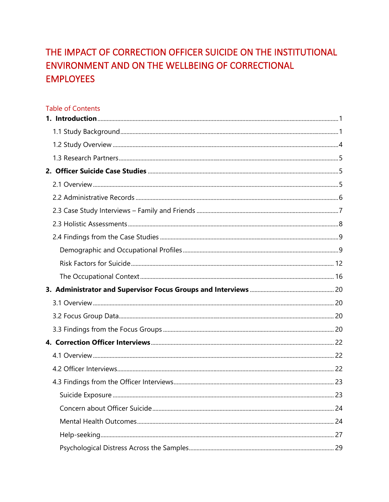# THE IMPACT OF CORRECTION OFFICER SUICIDE ON THE INSTITUTIONAL ENVIRONMENT AND ON THE WELLBEING OF CORRECTIONAL **EMPLOYEES**

#### **Table of Contents**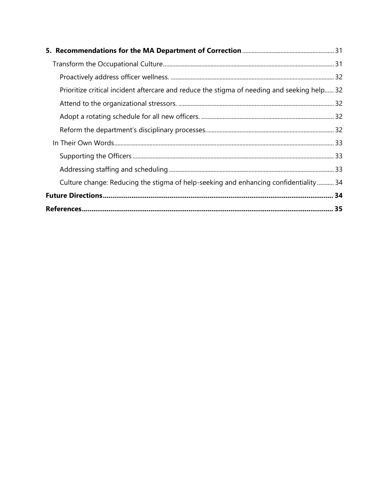| Prioritize critical incident aftercare and reduce the stigma of needing and seeking help 32 |  |
|---------------------------------------------------------------------------------------------|--|
|                                                                                             |  |
|                                                                                             |  |
|                                                                                             |  |
|                                                                                             |  |
|                                                                                             |  |
|                                                                                             |  |
| Culture change: Reducing the stigma of help-seeking and enhancing confidentiality 34        |  |
|                                                                                             |  |
|                                                                                             |  |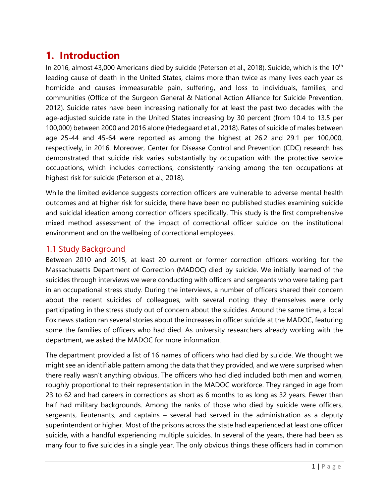## <span id="page-4-0"></span>**1. Introduction**

In 2016, almost 43,000 Americans died by suicide (Peterson et al., 2018). Suicide, which is the 10<sup>th</sup> leading cause of death in the United States, claims more than twice as many lives each year as homicide and causes immeasurable pain, suffering, and loss to individuals, families, and communities (Office of the Surgeon General & National Action Alliance for Suicide Prevention, 2012). Suicide rates have been increasing nationally for at least the past two decades with the age-adjusted suicide rate in the United States increasing by 30 percent (from 10.4 to 13.5 per 100,000) between 2000 and 2016 alone (Hedegaard et al., 2018). Rates of suicide of males between age 25-44 and 45-64 were reported as among the highest at 26.2 and 29.1 per 100,000, respectively, in 2016. Moreover, Center for Disease Control and Prevention (CDC) research has demonstrated that suicide risk varies substantially by occupation with the protective service occupations, which includes corrections, consistently ranking among the ten occupations at highest risk for suicide (Peterson et al., 2018).

While the limited evidence suggests correction officers are vulnerable to adverse mental health outcomes and at higher risk for suicide, there have been no published studies examining suicide and suicidal ideation among correction officers specifically. This study is the first comprehensive mixed method assessment of the impact of correctional officer suicide on the institutional environment and on the wellbeing of correctional employees.

### <span id="page-4-1"></span>1.1 Study Background

Between 2010 and 2015, at least 20 current or former correction officers working for the Massachusetts Department of Correction (MADOC) died by suicide. We initially learned of the suicides through interviews we were conducting with officers and sergeants who were taking part in an occupational stress study. During the interviews, a number of officers shared their concern about the recent suicides of colleagues, with several noting they themselves were only participating in the stress study out of concern about the suicides. Around the same time, a local Fox news station ran several stories about the increases in officer suicide at the MADOC, featuring some the families of officers who had died. As university researchers already working with the department, we asked the MADOC for more information.

The department provided a list of 16 names of officers who had died by suicide. We thought we might see an identifiable pattern among the data that they provided, and we were surprised when there really wasn't anything obvious. The officers who had died included both men and women, roughly proportional to their representation in the MADOC workforce. They ranged in age from 23 to 62 and had careers in corrections as short as 6 months to as long as 32 years. Fewer than half had military backgrounds. Among the ranks of those who died by suicide were officers, sergeants, lieutenants, and captains – several had served in the administration as a deputy superintendent or higher. Most of the prisons across the state had experienced at least one officer suicide, with a handful experiencing multiple suicides. In several of the years, there had been as many four to five suicides in a single year. The only obvious things these officers had in common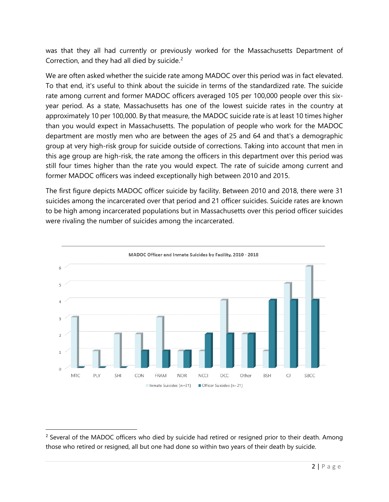was that they all had currently or previously worked for the Massachusetts Department of Correction, and they had all died by suicide.<sup>[2](#page-5-0)</sup>

We are often asked whether the suicide rate among MADOC over this period was in fact elevated. To that end, it's useful to think about the suicide in terms of the standardized rate. The suicide rate among current and former MADOC officers averaged 105 per 100,000 people over this sixyear period. As a state, Massachusetts has one of the lowest suicide rates in the country at approximately 10 per 100,000. By that measure, the MADOC suicide rate is at least 10 times higher than you would expect in Massachusetts. The population of people who work for the MADOC department are mostly men who are between the ages of 25 and 64 and that's a demographic group at very high-risk group for suicide outside of corrections. Taking into account that men in this age group are high-risk, the rate among the officers in this department over this period was still four times higher than the rate you would expect. The rate of suicide among current and former MADOC officers was indeed exceptionally high between 2010 and 2015.

The first figure depicts MADOC officer suicide by facility. Between 2010 and 2018, there were 31 suicides among the incarcerated over that period and 21 officer suicides. Suicide rates are known to be high among incarcerated populations but in Massachusetts over this period officer suicides were rivaling the number of suicides among the incarcerated.



<span id="page-5-0"></span><sup>&</sup>lt;sup>2</sup> Several of the MADOC officers who died by suicide had retired or resigned prior to their death. Among those who retired or resigned, all but one had done so within two years of their death by suicide.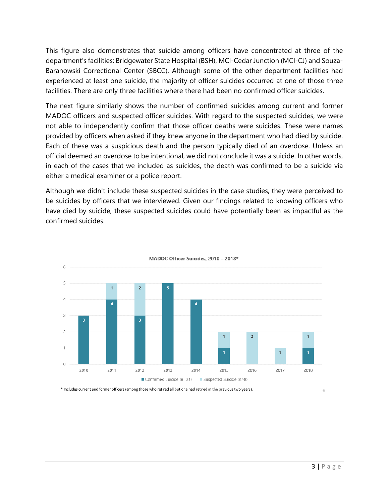This figure also demonstrates that suicide among officers have concentrated at three of the department's facilities: Bridgewater State Hospital (BSH), MCI-Cedar Junction (MCI-CJ) and Souza-Baranowski Correctional Center (SBCC). Although some of the other department facilities had experienced at least one suicide, the majority of officer suicides occurred at one of those three facilities. There are only three facilities where there had been no confirmed officer suicides.

The next figure similarly shows the number of confirmed suicides among current and former MADOC officers and suspected officer suicides. With regard to the suspected suicides, we were not able to independently confirm that those officer deaths were suicides. These were names provided by officers when asked if they knew anyone in the department who had died by suicide. Each of these was a suspicious death and the person typically died of an overdose. Unless an official deemed an overdose to be intentional, we did not conclude it was a suicide. In other words, in each of the cases that we included as suicides, the death was confirmed to be a suicide via either a medical examiner or a police report.

Although we didn't include these suspected suicides in the case studies, they were perceived to be suicides by officers that we interviewed. Given our findings related to knowing officers who have died by suicide, these suspected suicides could have potentially been as impactful as the confirmed suicides.



\* Includes current and former officers (among those who retired all but one had retired in the previous two years).

6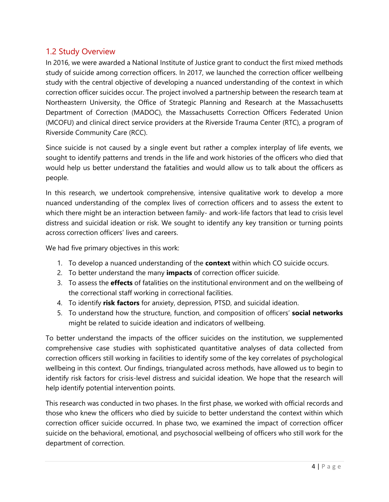## <span id="page-7-0"></span>1.2 Study Overview

In 2016, we were awarded a National Institute of Justice grant to conduct the first mixed methods study of suicide among correction officers. In 2017, we launched the correction officer wellbeing study with the central objective of developing a nuanced understanding of the context in which correction officer suicides occur. The project involved a partnership between the research team at Northeastern University, the Office of Strategic Planning and Research at the Massachusetts Department of Correction (MADOC), the Massachusetts Correction Officers Federated Union (MCOFU) and clinical direct service providers at the Riverside Trauma Center (RTC), a program of Riverside Community Care (RCC).

Since suicide is not caused by a single event but rather a complex interplay of life events, we sought to identify patterns and trends in the life and work histories of the officers who died that would help us better understand the fatalities and would allow us to talk about the officers as people.

In this research, we undertook comprehensive, intensive qualitative work to develop a more nuanced understanding of the complex lives of correction officers and to assess the extent to which there might be an interaction between family- and work-life factors that lead to crisis level distress and suicidal ideation or risk. We sought to identify any key transition or turning points across correction officers' lives and careers.

We had five primary objectives in this work:

- 1. To develop a nuanced understanding of the **context** within which CO suicide occurs.
- 2. To better understand the many **impacts** of correction officer suicide.
- 3. To assess the **effects** of fatalities on the institutional environment and on the wellbeing of the correctional staff working in correctional facilities.
- 4. To identify **risk factors** for anxiety, depression, PTSD, and suicidal ideation.
- 5. To understand how the structure, function, and composition of officers' **social networks** might be related to suicide ideation and indicators of wellbeing.

To better understand the impacts of the officer suicides on the institution, we supplemented comprehensive case studies with sophisticated quantitative analyses of data collected from correction officers still working in facilities to identify some of the key correlates of psychological wellbeing in this context. Our findings, triangulated across methods, have allowed us to begin to identify risk factors for crisis-level distress and suicidal ideation. We hope that the research will help identify potential intervention points.

This research was conducted in two phases. In the first phase, we worked with official records and those who knew the officers who died by suicide to better understand the context within which correction officer suicide occurred. In phase two, we examined the impact of correction officer suicide on the behavioral, emotional, and psychosocial wellbeing of officers who still work for the department of correction.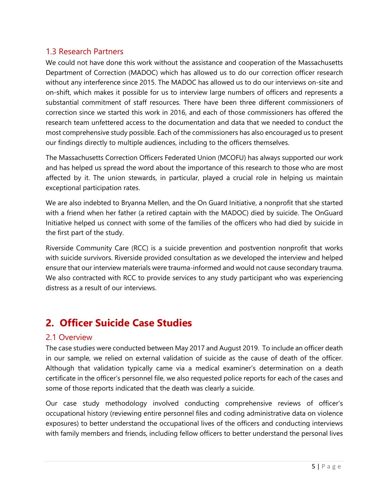## <span id="page-8-0"></span>1.3 Research Partners

We could not have done this work without the assistance and cooperation of the Massachusetts Department of Correction (MADOC) which has allowed us to do our correction officer research without any interference since 2015. The MADOC has allowed us to do our interviews on-site and on-shift, which makes it possible for us to interview large numbers of officers and represents a substantial commitment of staff resources. There have been three different commissioners of correction since we started this work in 2016, and each of those commissioners has offered the research team unfettered access to the documentation and data that we needed to conduct the most comprehensive study possible. Each of the commissioners has also encouraged us to present our findings directly to multiple audiences, including to the officers themselves.

The Massachusetts Correction Officers Federated Union (MCOFU) has always supported our work and has helped us spread the word about the importance of this research to those who are most affected by it. The union stewards, in particular, played a crucial role in helping us maintain exceptional participation rates.

We are also indebted to Bryanna Mellen, and the On Guard Initiative, a nonprofit that she started with a friend when her father (a retired captain with the MADOC) died by suicide. The OnGuard Initiative helped us connect with some of the families of the officers who had died by suicide in the first part of the study.

Riverside Community Care (RCC) is a suicide prevention and postvention nonprofit that works with suicide survivors. Riverside provided consultation as we developed the interview and helped ensure that our interview materials were trauma-informed and would not cause secondary trauma. We also contracted with RCC to provide services to any study participant who was experiencing distress as a result of our interviews.

# <span id="page-8-1"></span>**2. Officer Suicide Case Studies**

## <span id="page-8-2"></span>2.1 Overview

The case studies were conducted between May 2017 and August 2019. To include an officer death in our sample, we relied on external validation of suicide as the cause of death of the officer. Although that validation typically came via a medical examiner's determination on a death certificate in the officer's personnel file, we also requested police reports for each of the cases and some of those reports indicated that the death was clearly a suicide.

Our case study methodology involved conducting comprehensive reviews of officer's occupational history (reviewing entire personnel files and coding administrative data on violence exposures) to better understand the occupational lives of the officers and conducting interviews with family members and friends, including fellow officers to better understand the personal lives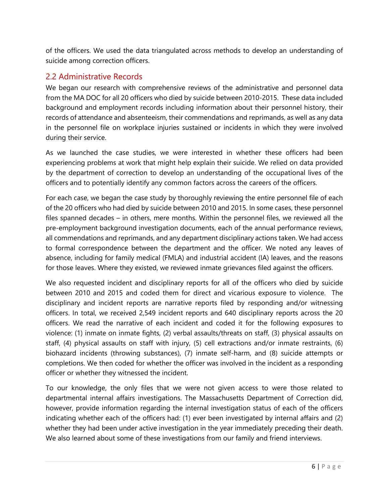of the officers. We used the data triangulated across methods to develop an understanding of suicide among correction officers.

### <span id="page-9-0"></span>2.2 Administrative Records

We began our research with comprehensive reviews of the administrative and personnel data from the MA DOC for all 20 officers who died by suicide between 2010-2015. These data included background and employment records including information about their personnel history, their records of attendance and absenteeism, their commendations and reprimands, as well as any data in the personnel file on workplace injuries sustained or incidents in which they were involved during their service.

As we launched the case studies, we were interested in whether these officers had been experiencing problems at work that might help explain their suicide. We relied on data provided by the department of correction to develop an understanding of the occupational lives of the officers and to potentially identify any common factors across the careers of the officers.

For each case, we began the case study by thoroughly reviewing the entire personnel file of each of the 20 officers who had died by suicide between 2010 and 2015. In some cases, these personnel files spanned decades – in others, mere months. Within the personnel files, we reviewed all the pre-employment background investigation documents, each of the annual performance reviews, all commendations and reprimands, and any department disciplinary actions taken. We had access to formal correspondence between the department and the officer. We noted any leaves of absence, including for family medical (FMLA) and industrial accident (IA) leaves, and the reasons for those leaves. Where they existed, we reviewed inmate grievances filed against the officers.

We also requested incident and disciplinary reports for all of the officers who died by suicide between 2010 and 2015 and coded them for direct and vicarious exposure to violence. The disciplinary and incident reports are narrative reports filed by responding and/or witnessing officers. In total, we received 2,549 incident reports and 640 disciplinary reports across the 20 officers. We read the narrative of each incident and coded it for the following exposures to violence: (1) inmate on inmate fights, (2) verbal assaults/threats on staff, (3) physical assaults on staff, (4) physical assaults on staff with injury, (5) cell extractions and/or inmate restraints, (6) biohazard incidents (throwing substances), (7) inmate self-harm, and (8) suicide attempts or completions. We then coded for whether the officer was involved in the incident as a responding officer or whether they witnessed the incident.

To our knowledge, the only files that we were not given access to were those related to departmental internal affairs investigations. The Massachusetts Department of Correction did, however, provide information regarding the internal investigation status of each of the officers indicating whether each of the officers had: (1) ever been investigated by internal affairs and (2) whether they had been under active investigation in the year immediately preceding their death. We also learned about some of these investigations from our family and friend interviews.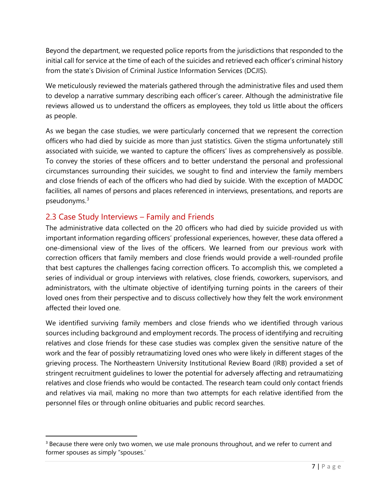Beyond the department, we requested police reports from the jurisdictions that responded to the initial call for service at the time of each of the suicides and retrieved each officer's criminal history from the state's Division of Criminal Justice Information Services (DCJIS).

We meticulously reviewed the materials gathered through the administrative files and used them to develop a narrative summary describing each officer's career. Although the administrative file reviews allowed us to understand the officers as employees, they told us little about the officers as people.

As we began the case studies, we were particularly concerned that we represent the correction officers who had died by suicide as more than just statistics. Given the stigma unfortunately still associated with suicide, we wanted to capture the officers' lives as comprehensively as possible. To convey the stories of these officers and to better understand the personal and professional circumstances surrounding their suicides, we sought to find and interview the family members and close friends of each of the officers who had died by suicide. With the exception of MADOC facilities, all names of persons and places referenced in interviews, presentations, and reports are pseudonyms.[3](#page-10-1)

## <span id="page-10-0"></span>2.3 Case Study Interviews – Family and Friends

The administrative data collected on the 20 officers who had died by suicide provided us with important information regarding officers' professional experiences, however, these data offered a one-dimensional view of the lives of the officers. We learned from our previous work with correction officers that family members and close friends would provide a well-rounded profile that best captures the challenges facing correction officers. To accomplish this, we completed a series of individual or group interviews with relatives, close friends, coworkers, supervisors, and administrators, with the ultimate objective of identifying turning points in the careers of their loved ones from their perspective and to discuss collectively how they felt the work environment affected their loved one.

We identified surviving family members and close friends who we identified through various sources including background and employment records. The process of identifying and recruiting relatives and close friends for these case studies was complex given the sensitive nature of the work and the fear of possibly retraumatizing loved ones who were likely in different stages of the grieving process. The Northeastern University Institutional Review Board (IRB) provided a set of stringent recruitment guidelines to lower the potential for adversely affecting and retraumatizing relatives and close friends who would be contacted. The research team could only contact friends and relatives via mail, making no more than two attempts for each relative identified from the personnel files or through online obituaries and public record searches.

<span id="page-10-1"></span><sup>&</sup>lt;sup>3</sup> Because there were only two women, we use male pronouns throughout, and we refer to current and former spouses as simply "spouses.'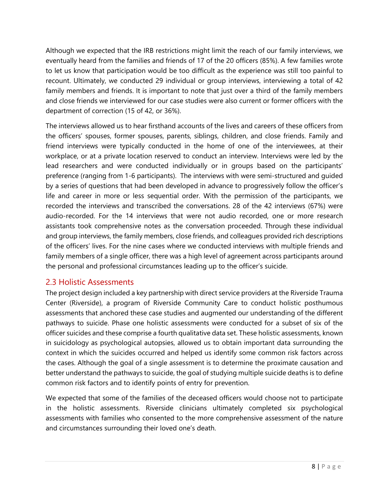Although we expected that the IRB restrictions might limit the reach of our family interviews, we eventually heard from the families and friends of 17 of the 20 officers (85%). A few families wrote to let us know that participation would be too difficult as the experience was still too painful to recount. Ultimately, we conducted 29 individual or group interviews, interviewing a total of 42 family members and friends. It is important to note that just over a third of the family members and close friends we interviewed for our case studies were also current or former officers with the department of correction (15 of 42, or 36%).

The interviews allowed us to hear firsthand accounts of the lives and careers of these officers from the officers' spouses, former spouses, parents, siblings, children, and close friends. Family and friend interviews were typically conducted in the home of one of the interviewees, at their workplace, or at a private location reserved to conduct an interview. Interviews were led by the lead researchers and were conducted individually or in groups based on the participants' preference (ranging from 1-6 participants). The interviews with were semi-structured and guided by a series of questions that had been developed in advance to progressively follow the officer's life and career in more or less sequential order. With the permission of the participants, we recorded the interviews and transcribed the conversations. 28 of the 42 interviews (67%) were audio-recorded. For the 14 interviews that were not audio recorded, one or more research assistants took comprehensive notes as the conversation proceeded. Through these individual and group interviews, the family members, close friends, and colleagues provided rich descriptions of the officers' lives. For the nine cases where we conducted interviews with multiple friends and family members of a single officer, there was a high level of agreement across participants around the personal and professional circumstances leading up to the officer's suicide.

## <span id="page-11-0"></span>2.3 Holistic Assessments

The project design included a key partnership with direct service providers at the Riverside Trauma Center (Riverside), a program of Riverside Community Care to conduct holistic posthumous assessments that anchored these case studies and augmented our understanding of the different pathways to suicide. Phase one holistic assessments were conducted for a subset of six of the officer suicides and these comprise a fourth qualitative data set. These holistic assessments, known in suicidology as psychological autopsies, allowed us to obtain important data surrounding the context in which the suicides occurred and helped us identify some common risk factors across the cases. Although the goal of a single assessment is to determine the proximate causation and better understand the pathways to suicide, the goal of studying multiple suicide deaths is to define common risk factors and to identify points of entry for prevention.

We expected that some of the families of the deceased officers would choose not to participate in the holistic assessments. Riverside clinicians ultimately completed six psychological assessments with families who consented to the more comprehensive assessment of the nature and circumstances surrounding their loved one's death.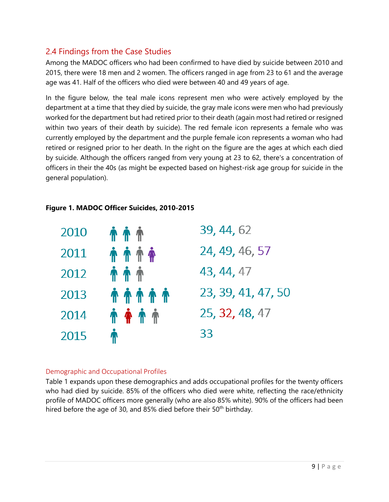## <span id="page-12-0"></span>2.4 Findings from the Case Studies

Among the MADOC officers who had been confirmed to have died by suicide between 2010 and 2015, there were 18 men and 2 women. The officers ranged in age from 23 to 61 and the average age was 41. Half of the officers who died were between 40 and 49 years of age.

In the figure below, the teal male icons represent men who were actively employed by the department at a time that they died by suicide, the gray male icons were men who had previously worked for the department but had retired prior to their death (again most had retired or resigned within two years of their death by suicide). The red female icon represents a female who was currently employed by the department and the purple female icon represents a woman who had retired or resigned prior to her death. In the right on the figure are the ages at which each died by suicide. Although the officers ranged from very young at 23 to 62, there's a concentration of officers in their the 40s (as might be expected based on highest-risk age group for suicide in the general population).

| 2010 | <b>11 11 11</b>       | 39, 44, 62         |
|------|-----------------------|--------------------|
| 2011 | <b><i>A A A A</i></b> | 24, 49, 46, 57     |
| 2012 | <b><i>A A A</i></b>   | 43, 44, 47         |
| 2013 | <b><i>↑↑↑↑↑</i></b>   | 23, 39, 41, 47, 50 |
| 2014 | <b><i>1</i></b> * * * | 25, 32, 48, 47     |
| 2015 | ₩                     | 33                 |

## **Figure 1. MADOC Officer Suicides, 2010-2015**

#### <span id="page-12-1"></span>Demographic and Occupational Profiles

Table 1 expands upon these demographics and adds occupational profiles for the twenty officers who had died by suicide. 85% of the officers who died were white, reflecting the race/ethnicity profile of MADOC officers more generally (who are also 85% white). 90% of the officers had been hired before the age of 30, and 85% died before their  $50<sup>th</sup>$  birthday.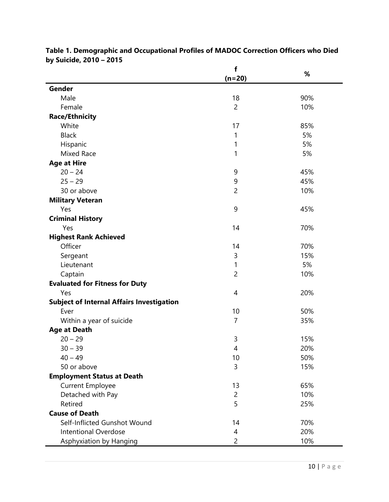|                                                  | f              | %   |
|--------------------------------------------------|----------------|-----|
|                                                  | $(n=20)$       |     |
| Gender                                           |                |     |
| Male                                             | 18             | 90% |
| Female                                           | $\overline{c}$ | 10% |
| <b>Race/Ethnicity</b>                            |                |     |
| White                                            | 17             | 85% |
| <b>Black</b>                                     | 1              | 5%  |
| Hispanic                                         | 1              | 5%  |
| Mixed Race                                       | 1              | 5%  |
| <b>Age at Hire</b>                               |                |     |
| $20 - 24$                                        | 9              | 45% |
| $25 - 29$                                        | 9              | 45% |
| 30 or above                                      | $\overline{2}$ | 10% |
| <b>Military Veteran</b>                          |                |     |
| Yes                                              | 9              | 45% |
| <b>Criminal History</b>                          |                |     |
| Yes                                              | 14             | 70% |
| <b>Highest Rank Achieved</b>                     |                |     |
| Officer                                          | 14             | 70% |
| Sergeant                                         | 3              | 15% |
| Lieutenant                                       | 1              | 5%  |
| Captain                                          | $\overline{c}$ | 10% |
| <b>Evaluated for Fitness for Duty</b>            |                |     |
| Yes                                              | 4              | 20% |
| <b>Subject of Internal Affairs Investigation</b> |                |     |
| Ever                                             | 10             | 50% |
| Within a year of suicide                         | $\overline{7}$ | 35% |
| <b>Age at Death</b>                              |                |     |
| $20 - 29$                                        | 3              | 15% |
| $30 - 39$                                        | 4              | 20% |
| $40 - 49$                                        | 10             | 50% |
| 50 or above                                      | 3              | 15% |
| <b>Employment Status at Death</b>                |                |     |
| <b>Current Employee</b>                          | 13             | 65% |
| Detached with Pay                                | $\overline{c}$ | 10% |
| Retired                                          | 5              | 25% |
| <b>Cause of Death</b>                            |                |     |
| Self-Inflicted Gunshot Wound                     | 14             | 70% |
| <b>Intentional Overdose</b>                      | 4              | 20% |
| Asphyxiation by Hanging                          | $\overline{c}$ | 10% |

#### **Table 1. Demographic and Occupational Profiles of MADOC Correction Officers who Died by Suicide, 2010 – 2015**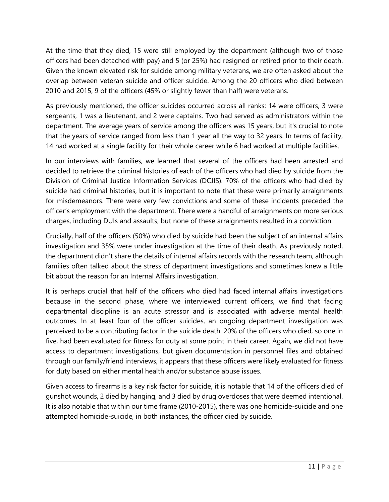At the time that they died, 15 were still employed by the department (although two of those officers had been detached with pay) and 5 (or 25%) had resigned or retired prior to their death. Given the known elevated risk for suicide among military veterans, we are often asked about the overlap between veteran suicide and officer suicide. Among the 20 officers who died between 2010 and 2015, 9 of the officers (45% or slightly fewer than half) were veterans.

As previously mentioned, the officer suicides occurred across all ranks: 14 were officers, 3 were sergeants, 1 was a lieutenant, and 2 were captains. Two had served as administrators within the department. The average years of service among the officers was 15 years, but it's crucial to note that the years of service ranged from less than 1 year all the way to 32 years. In terms of facility, 14 had worked at a single facility for their whole career while 6 had worked at multiple facilities.

In our interviews with families, we learned that several of the officers had been arrested and decided to retrieve the criminal histories of each of the officers who had died by suicide from the Division of Criminal Justice Information Services (DCJIS). 70% of the officers who had died by suicide had criminal histories, but it is important to note that these were primarily arraignments for misdemeanors. There were very few convictions and some of these incidents preceded the officer's employment with the department. There were a handful of arraignments on more serious charges, including DUIs and assaults, but none of these arraignments resulted in a conviction.

Crucially, half of the officers (50%) who died by suicide had been the subject of an internal affairs investigation and 35% were under investigation at the time of their death. As previously noted, the department didn't share the details of internal affairs records with the research team, although families often talked about the stress of department investigations and sometimes knew a little bit about the reason for an Internal Affairs investigation.

It is perhaps crucial that half of the officers who died had faced internal affairs investigations because in the second phase, where we interviewed current officers, we find that facing departmental discipline is an acute stressor and is associated with adverse mental health outcomes. In at least four of the officer suicides, an ongoing department investigation was perceived to be a contributing factor in the suicide death. 20% of the officers who died, so one in five, had been evaluated for fitness for duty at some point in their career. Again, we did not have access to department investigations, but given documentation in personnel files and obtained through our family/friend interviews, it appears that these officers were likely evaluated for fitness for duty based on either mental health and/or substance abuse issues.

Given access to firearms is a key risk factor for suicide, it is notable that 14 of the officers died of gunshot wounds, 2 died by hanging, and 3 died by drug overdoses that were deemed intentional. It is also notable that within our time frame (2010-2015), there was one homicide-suicide and one attempted homicide-suicide, in both instances, the officer died by suicide.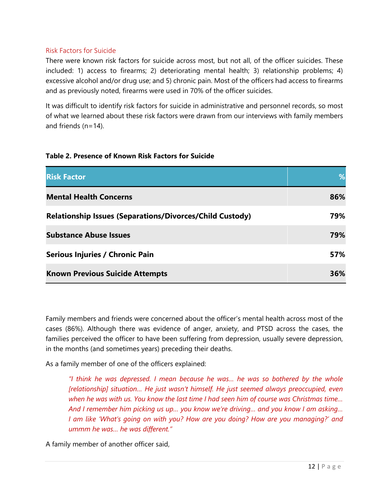#### <span id="page-15-0"></span>Risk Factors for Suicide

There were known risk factors for suicide across most, but not all, of the officer suicides. These included: 1) access to firearms; 2) deteriorating mental health; 3) relationship problems; 4) excessive alcohol and/or drug use; and 5) chronic pain. Most of the officers had access to firearms and as previously noted, firearms were used in 70% of the officer suicides.

It was difficult to identify risk factors for suicide in administrative and personnel records, so most of what we learned about these risk factors were drawn from our interviews with family members and friends (n=14).

| <b>Risk Factor</b>                                              | %   |
|-----------------------------------------------------------------|-----|
| <b>Mental Health Concerns</b>                                   | 86% |
| <b>Relationship Issues (Separations/Divorces/Child Custody)</b> | 79% |
| <b>Substance Abuse Issues</b>                                   | 79% |
| Serious Injuries / Chronic Pain                                 | 57% |
| <b>Known Previous Suicide Attempts</b>                          | 36% |

#### **Table 2. Presence of Known Risk Factors for Suicide**

Family members and friends were concerned about the officer's mental health across most of the cases (86%). Although there was evidence of anger, anxiety, and PTSD across the cases, the families perceived the officer to have been suffering from depression, usually severe depression, in the months (and sometimes years) preceding their deaths.

As a family member of one of the officers explained:

*"I think he was depressed. I mean because he was… he was so bothered by the whole [relationship] situation… He just wasn't himself. He just seemed always preoccupied, even when he was with us. You know the last time I had seen him of course was Christmas time… And I remember him picking us up… you know we're driving… and you know I am asking… I am like 'What's going on with you? How are you doing? How are you managing?' and ummm he was… he was different."*

A family member of another officer said,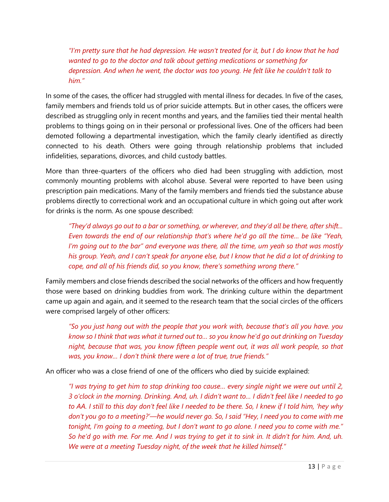*"I'm pretty sure that he had depression. He wasn't treated for it, but I do know that he had wanted to go to the doctor and talk about getting medications or something for depression. And when he went, the doctor was too young. He felt like he couldn't talk to him."*

In some of the cases, the officer had struggled with mental illness for decades. In five of the cases, family members and friends told us of prior suicide attempts. But in other cases, the officers were described as struggling only in recent months and years, and the families tied their mental health problems to things going on in their personal or professional lives. One of the officers had been demoted following a departmental investigation, which the family clearly identified as directly connected to his death. Others were going through relationship problems that included infidelities, separations, divorces, and child custody battles.

More than three-quarters of the officers who died had been struggling with addiction, most commonly mounting problems with alcohol abuse. Several were reported to have been using prescription pain medications. Many of the family members and friends tied the substance abuse problems directly to correctional work and an occupational culture in which going out after work for drinks is the norm. As one spouse described:

*"They'd always go out to a bar or something, or wherever, and they'd all be there, after shift... Even towards the end of our relationship that's where he'd go all the time… be like "Yeah, I'm going out to the bar" and everyone was there, all the time, um yeah so that was mostly his group. Yeah, and I can't speak for anyone else, but I know that he did a lot of drinking to cope, and all of his friends did, so you know, there's something wrong there."*

Family members and close friends described the social networks of the officers and how frequently those were based on drinking buddies from work. The drinking culture within the department came up again and again, and it seemed to the research team that the social circles of the officers were comprised largely of other officers:

*"So you just hang out with the people that you work with, because that's all you have. you know so I think that was what it turned out to… so you know he'd go out drinking on Tuesday night, because that was, you know fifteen people went out, it was all work people, so that was, you know… I don't think there were a lot of true, true friends."*

An officer who was a close friend of one of the officers who died by suicide explained:

*"I was trying to get him to stop drinking too cause… every single night we were out until 2, 3 o'clock in the morning. Drinking. And, uh. I didn't want to… I didn't feel like I needed to go to AA. I still to this day don't feel like I needed to be there. So, I knew if I told him, 'hey why don't you go to a meeting?'—he would never go. So, I said "Hey, I need you to come with me tonight, I'm going to a meeting, but I don't want to go alone. I need you to come with me." So he'd go with me. For me. And I was trying to get it to sink in. It didn't for him. And, uh. We were at a meeting Tuesday night, of the week that he killed himself."*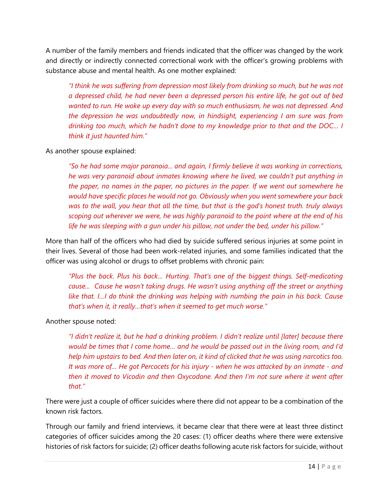A number of the family members and friends indicated that the officer was changed by the work and directly or indirectly connected correctional work with the officer's growing problems with substance abuse and mental health. As one mother explained:

*"I think he was suffering from depression most likely from drinking so much, but he was not a depressed child, he had never been a depressed person his entire life, he got out of bed wanted to run. He woke up every day with so much enthusiasm, he was not depressed. And the depression he was undoubtedly now, in hindsight, experiencing I am sure was from drinking too much, which he hadn't done to my knowledge prior to that and the DOC… I think it just haunted him."*

As another spouse explained:

*"So he had some major paranoia... and again, I firmly believe it was working in corrections, he was very paranoid about inmates knowing where he lived, we couldn't put anything in the paper, no names in the paper, no pictures in the paper. If we went out somewhere he would have specific places he would not go. Obviously when you went somewhere your back was to the wall, you hear that all the time, but that is the god's honest truth. truly always scoping out wherever we were, he was highly paranoid to the point where at the end of his life he was sleeping with a gun under his pillow, not under the bed, under his pillow."*

More than half of the officers who had died by suicide suffered serious injuries at some point in their lives. Several of those had been work-related injuries, and some families indicated that the officer was using alcohol or drugs to offset problems with chronic pain:

*"Plus the back. Plus his back… Hurting. That's one of the biggest things. Self-medicating cause... Cause he wasn't taking drugs. He wasn't using anything off the street or anything like that. I…I do think the drinking was helping with numbing the pain in his back. Cause that's when it, it really…that's when it seemed to get much worse."*

Another spouse noted:

*"I didn't realize it, but he had a drinking problem. I didn't realize until [later] because there would be times that I come home… and he would be passed out in the living room, and I'd help him upstairs to bed. And then later on, it kind of clicked that he was using narcotics too. It was more of… He got Percocets for his injury - when he was attacked by an inmate - and then it moved to Vicodin and then Oxycodone. And then I'm not sure where it went after that."*

There were just a couple of officer suicides where there did not appear to be a combination of the known risk factors.

Through our family and friend interviews, it became clear that there were at least three distinct categories of officer suicides among the 20 cases: (1) officer deaths where there were extensive histories of risk factors for suicide; (2) officer deaths following acute risk factors for suicide, without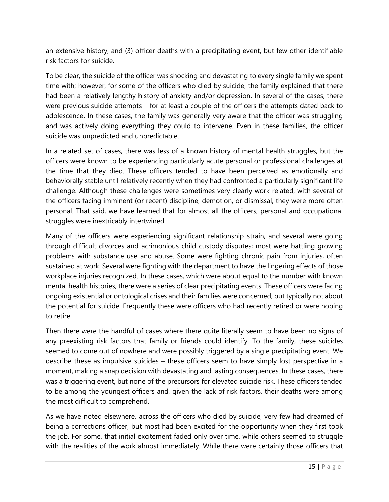an extensive history; and (3) officer deaths with a precipitating event, but few other identifiable risk factors for suicide.

To be clear, the suicide of the officer was shocking and devastating to every single family we spent time with; however, for some of the officers who died by suicide, the family explained that there had been a relatively lengthy history of anxiety and/or depression. In several of the cases, there were previous suicide attempts – for at least a couple of the officers the attempts dated back to adolescence. In these cases, the family was generally very aware that the officer was struggling and was actively doing everything they could to intervene. Even in these families, the officer suicide was unpredicted and unpredictable.

In a related set of cases, there was less of a known history of mental health struggles, but the officers were known to be experiencing particularly acute personal or professional challenges at the time that they died. These officers tended to have been perceived as emotionally and behaviorally stable until relatively recently when they had confronted a particularly significant life challenge. Although these challenges were sometimes very clearly work related, with several of the officers facing imminent (or recent) discipline, demotion, or dismissal, they were more often personal. That said, we have learned that for almost all the officers, personal and occupational struggles were inextricably intertwined.

Many of the officers were experiencing significant relationship strain, and several were going through difficult divorces and acrimonious child custody disputes; most were battling growing problems with substance use and abuse. Some were fighting chronic pain from injuries, often sustained at work. Several were fighting with the department to have the lingering effects of those workplace injuries recognized. In these cases, which were about equal to the number with known mental health histories, there were a series of clear precipitating events. These officers were facing ongoing existential or ontological crises and their families were concerned, but typically not about the potential for suicide. Frequently these were officers who had recently retired or were hoping to retire.

Then there were the handful of cases where there quite literally seem to have been no signs of any preexisting risk factors that family or friends could identify. To the family, these suicides seemed to come out of nowhere and were possibly triggered by a single precipitating event. We describe these as impulsive suicides – these officers seem to have simply lost perspective in a moment, making a snap decision with devastating and lasting consequences. In these cases, there was a triggering event, but none of the precursors for elevated suicide risk. These officers tended to be among the youngest officers and, given the lack of risk factors, their deaths were among the most difficult to comprehend.

As we have noted elsewhere, across the officers who died by suicide, very few had dreamed of being a corrections officer, but most had been excited for the opportunity when they first took the job. For some, that initial excitement faded only over time, while others seemed to struggle with the realities of the work almost immediately. While there were certainly those officers that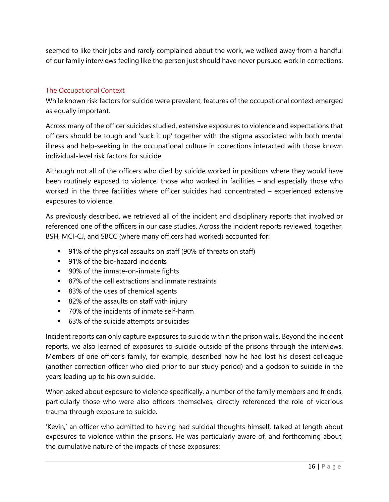seemed to like their jobs and rarely complained about the work, we walked away from a handful of our family interviews feeling like the person just should have never pursued work in corrections.

#### <span id="page-19-0"></span>The Occupational Context

While known risk factors for suicide were prevalent, features of the occupational context emerged as equally important.

Across many of the officer suicides studied, extensive exposures to violence and expectations that officers should be tough and 'suck it up' together with the stigma associated with both mental illness and help-seeking in the occupational culture in corrections interacted with those known individual-level risk factors for suicide.

Although not all of the officers who died by suicide worked in positions where they would have been routinely exposed to violence, those who worked in facilities – and especially those who worked in the three facilities where officer suicides had concentrated – experienced extensive exposures to violence.

As previously described, we retrieved all of the incident and disciplinary reports that involved or referenced one of the officers in our case studies. Across the incident reports reviewed, together, BSH, MCI-CJ, and SBCC (where many officers had worked) accounted for:

- 91% of the physical assaults on staff (90% of threats on staff)
- **91%** of the bio-hazard incidents
- **90%** of the inmate-on-inmate fights
- 87% of the cell extractions and inmate restraints
- 83% of the uses of chemical agents
- 82% of the assaults on staff with injury
- 70% of the incidents of inmate self-harm
- 63% of the suicide attempts or suicides

Incident reports can only capture exposures to suicide within the prison walls. Beyond the incident reports, we also learned of exposures to suicide outside of the prisons through the interviews. Members of one officer's family, for example, described how he had lost his closest colleague (another correction officer who died prior to our study period) and a godson to suicide in the years leading up to his own suicide.

When asked about exposure to violence specifically, a number of the family members and friends, particularly those who were also officers themselves, directly referenced the role of vicarious trauma through exposure to suicide.

'Kevin,' an officer who admitted to having had suicidal thoughts himself, talked at length about exposures to violence within the prisons. He was particularly aware of, and forthcoming about, the cumulative nature of the impacts of these exposures: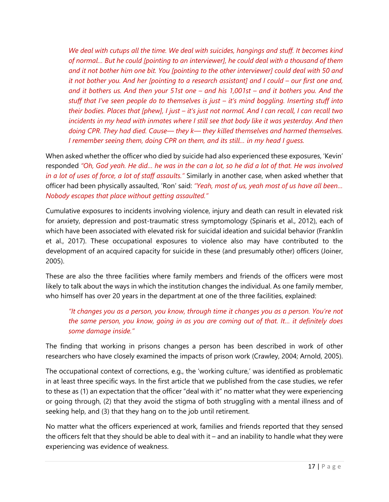*We deal with cutups all the time. We deal with suicides, hangings and stuff. It becomes kind of normal… But he could [pointing to an interviewer], he could deal with a thousand of them and it not bother him one bit. You [pointing to the other interviewer] could deal with 50 and it not bother you. And her [pointing to a research assistant] and I could – our first one and, and it bothers us. And then your 51st one – and his 1,001st – and it bothers you. And the stuff that I've seen people do to themselves is just – it's mind boggling. Inserting stuff into their bodies. Places that [phew], I just – it's just not normal. And I can recall, I can recall two*  incidents in my head with inmates where I still see that body like it was yesterday. And then *doing CPR. They had died. Cause— they k— they killed themselves and harmed themselves. I remember seeing them, doing CPR on them, and its still… in my head I guess.* 

When asked whether the officer who died by suicide had also experienced these exposures, 'Kevin' responded *"Oh, God yeah. He did… he was in the can a lot, so he did a lot of that. He was involved in a lot of uses of force, a lot of staff assaults."* Similarly in another case, when asked whether that officer had been physically assaulted, 'Ron' said: *"Yeah, most of us, yeah most of us have all been… Nobody escapes that place without getting assaulted."*

Cumulative exposures to incidents involving violence, injury and death can result in elevated risk for anxiety, depression and post-traumatic stress symptomology (Spinaris et al., 2012), each of which have been associated with elevated risk for suicidal ideation and suicidal behavior (Franklin et al., 2017). These occupational exposures to violence also may have contributed to the development of an acquired capacity for suicide in these (and presumably other) officers (Joiner, 2005).

These are also the three facilities where family members and friends of the officers were most likely to talk about the ways in which the institution changes the individual. As one family member, who himself has over 20 years in the department at one of the three facilities, explained:

*"It changes you as a person, you know, through time it changes you as a person. You're not the same person, you know, going in as you are coming out of that. It… it definitely does some damage inside."*

The finding that working in prisons changes a person has been described in work of other researchers who have closely examined the impacts of prison work (Crawley, 2004; Arnold, 2005).

The occupational context of corrections, e.g., the 'working culture,' was identified as problematic in at least three specific ways. In the first article that we published from the case studies, we refer to these as (1) an expectation that the officer "deal with it" no matter what they were experiencing or going through, (2) that they avoid the stigma of both struggling with a mental illness and of seeking help, and (3) that they hang on to the job until retirement.

No matter what the officers experienced at work, families and friends reported that they sensed the officers felt that they should be able to deal with it – and an inability to handle what they were experiencing was evidence of weakness.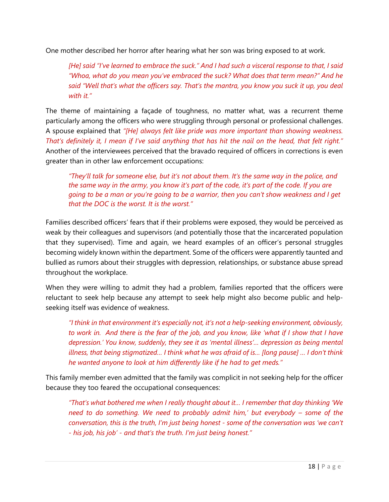One mother described her horror after hearing what her son was bring exposed to at work.

*[He] said "I've learned to embrace the suck." And I had such a visceral response to that, I said "Whoa, what do you mean you've embraced the suck? What does that term mean?" And he said "Well that's what the officers say. That's the mantra, you know you suck it up, you deal with it."*

The theme of maintaining a façade of toughness, no matter what, was a recurrent theme particularly among the officers who were struggling through personal or professional challenges. A spouse explained that *"[He] always felt like pride was more important than showing weakness. That's definitely it, I mean if I've said anything that has hit the nail on the head, that felt right."* Another of the interviewees perceived that the bravado required of officers in corrections is even greater than in other law enforcement occupations:

*"They'll talk for someone else, but it's not about them. It's the same way in the police, and the same way in the army, you know it's part of the code, it's part of the code. If you are going to be a man or you're going to be a warrior, then you can't show weakness and I get that the DOC is the worst. It is the worst."* 

Families described officers' fears that if their problems were exposed, they would be perceived as weak by their colleagues and supervisors (and potentially those that the incarcerated population that they supervised). Time and again, we heard examples of an officer's personal struggles becoming widely known within the department. Some of the officers were apparently taunted and bullied as rumors about their struggles with depression, relationships, or substance abuse spread throughout the workplace.

When they were willing to admit they had a problem, families reported that the officers were reluctant to seek help because any attempt to seek help might also become public and helpseeking itself was evidence of weakness.

*"I think in that environment it's especially not, it's not a help-seeking environment, obviously, to work in. And there is the fear of the job, and you know, like 'what if I show that I have depression.' You know, suddenly, they see it as 'mental illness'… depression as being mental illness, that being stigmatized… I think what he was afraid of is… [long pause] … I don't think he wanted anyone to look at him differently like if he had to get meds."*

This family member even admitted that the family was complicit in not seeking help for the officer because they too feared the occupational consequences:

*"That's what bothered me when I really thought about it… I remember that day thinking 'We need to do something. We need to probably admit him,' but everybody – some of the conversation, this is the truth, I'm just being honest - some of the conversation was 'we can't - his job, his job' - and that's the truth. I'm just being honest."*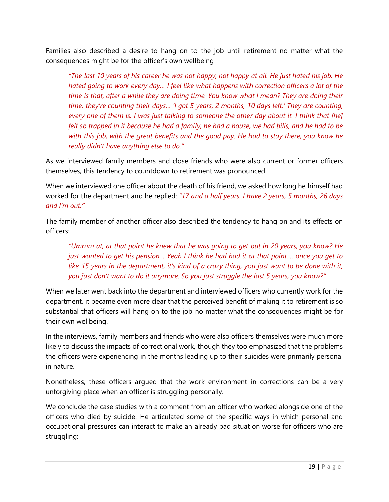Families also described a desire to hang on to the job until retirement no matter what the consequences might be for the officer's own wellbeing

*"The last 10 years of his career he was not happy, not happy at all. He just hated his job. He hated going to work every day… I feel like what happens with correction officers a lot of the time is that, after a while they are doing time. You know what I mean? They are doing their time, they're counting their days… 'I got 5 years, 2 months, 10 days left.' They are counting, every one of them is. I was just talking to someone the other day about it. I think that [he] felt so trapped in it because he had a family, he had a house, we had bills, and he had to be with this job, with the great benefits and the good pay. He had to stay there, you know he really didn't have anything else to do."*

As we interviewed family members and close friends who were also current or former officers themselves, this tendency to countdown to retirement was pronounced.

When we interviewed one officer about the death of his friend, we asked how long he himself had worked for the department and he replied: *"17 and a half years. I have 2 years, 5 months, 26 days and I'm out."*

The family member of another officer also described the tendency to hang on and its effects on officers:

*"Ummm at, at that point he knew that he was going to get out in 20 years, you know? He just wanted to get his pension… Yeah I think he had had it at that point.… once you get to like 15 years in the department, it's kind of a crazy thing, you just want to be done with it, you just don't want to do it anymore. So you just struggle the last 5 years, you know?"*

When we later went back into the department and interviewed officers who currently work for the department, it became even more clear that the perceived benefit of making it to retirement is so substantial that officers will hang on to the job no matter what the consequences might be for their own wellbeing.

In the interviews, family members and friends who were also officers themselves were much more likely to discuss the impacts of correctional work, though they too emphasized that the problems the officers were experiencing in the months leading up to their suicides were primarily personal in nature.

Nonetheless, these officers argued that the work environment in corrections can be a very unforgiving place when an officer is struggling personally.

We conclude the case studies with a comment from an officer who worked alongside one of the officers who died by suicide. He articulated some of the specific ways in which personal and occupational pressures can interact to make an already bad situation worse for officers who are struggling: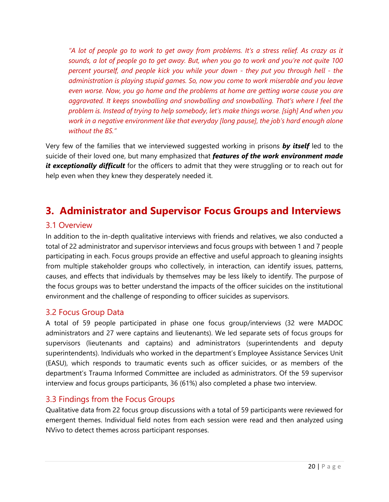*"A lot of people go to work to get away from problems. It's a stress relief. As crazy as it sounds, a lot of people go to get away. But, when you go to work and you're not quite 100 percent yourself, and people kick you while your down - they put you through hell - the administration is playing stupid games. So, now you come to work miserable and you leave even worse. Now, you go home and the problems at home are getting worse cause you are aggravated. It keeps snowballing and snowballing and snowballing. That's where I feel the problem is. Instead of trying to help somebody, let's make things worse. [sigh] And when you work in a negative environment like that everyday [long pause], the job's hard enough alone without the BS."*

Very few of the families that we interviewed suggested working in prisons *by itself* led to the suicide of their loved one, but many emphasized that *features of the work environment made*  it exceptionally difficult for the officers to admit that they were struggling or to reach out for help even when they knew they desperately needed it.

## <span id="page-23-0"></span>**3. Administrator and Supervisor Focus Groups and Interviews**

### <span id="page-23-1"></span>3.1 Overview

In addition to the in-depth qualitative interviews with friends and relatives, we also conducted a total of 22 administrator and supervisor interviews and focus groups with between 1 and 7 people participating in each. Focus groups provide an effective and useful approach to gleaning insights from multiple stakeholder groups who collectively, in interaction, can identify issues, patterns, causes, and effects that individuals by themselves may be less likely to identify. The purpose of the focus groups was to better understand the impacts of the officer suicides on the institutional environment and the challenge of responding to officer suicides as supervisors.

#### <span id="page-23-2"></span>3.2 Focus Group Data

A total of 59 people participated in phase one focus group/interviews (32 were MADOC administrators and 27 were captains and lieutenants). We led separate sets of focus groups for supervisors (lieutenants and captains) and administrators (superintendents and deputy superintendents). Individuals who worked in the department's Employee Assistance Services Unit (EASU), which responds to traumatic events such as officer suicides, or as members of the department's Trauma Informed Committee are included as administrators. Of the 59 supervisor interview and focus groups participants, 36 (61%) also completed a phase two interview.

#### <span id="page-23-3"></span>3.3 Findings from the Focus Groups

Qualitative data from 22 focus group discussions with a total of 59 participants were reviewed for emergent themes. Individual field notes from each session were read and then analyzed using NVivo to detect themes across participant responses.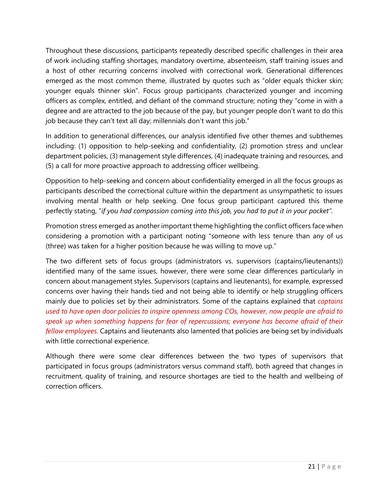Throughout these discussions, participants repeatedly described specific challenges in their area of work including staffing shortages, mandatory overtime, absenteeism, staff training issues and a host of other recurring concerns involved with correctional work. Generational differences emerged as the most common theme, illustrated by quotes such as "older equals thicker skin; younger equals thinner skin". Focus group participants characterized younger and incoming officers as complex, entitled, and defiant of the command structure; noting they "come in with a degree and are attracted to the job because of the pay, but younger people don't want to do this job because they can't text all day; millennials don't want this job."

In addition to generational differences, our analysis identified five other themes and subthemes including: (1) opposition to help-seeking and confidentiality, (2) promotion stress and unclear department policies, (3) management style differences, (4) inadequate training and resources, and (5) a call for more proactive approach to addressing officer wellbeing.

Opposition to help-seeking and concern about confidentiality emerged in all the focus groups as participants described the correctional culture within the department as unsympathetic to issues involving mental health or help seeking. One focus group participant captured this theme perfectly stating, "*if you had compassion coming into this job, you had to put it in your pocket".* 

Promotion stress emerged as another important theme highlighting the conflict officers face when considering a promotion with a participant noting "someone with less tenure than any of us (three) was taken for a higher position because he was willing to move up."

The two different sets of focus groups (administrators vs. supervisors (captains/lieutenants)) identified many of the same issues, however, there were some clear differences particularly in concern about management styles. Supervisors (captains and lieutenants), for example, expressed concerns over having their hands tied and not being able to identify or help struggling officers mainly due to policies set by their administrators. Some of the captains explained that *captains used to have open door policies to inspire openness among COs, however, now people are afraid to speak up when something happens for fear of repercussions; everyone has become afraid of their fellow employees.* Captains and lieutenants also lamented that policies are being set by individuals with little correctional experience.

Although there were some clear differences between the two types of supervisors that participated in focus groups (administrators versus command staff), both agreed that changes in recruitment, quality of training, and resource shortages are tied to the health and wellbeing of correction officers.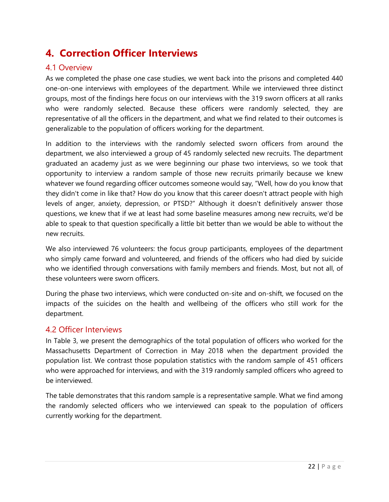# <span id="page-25-0"></span>**4. Correction Officer Interviews**

## <span id="page-25-1"></span>4.1 Overview

As we completed the phase one case studies, we went back into the prisons and completed 440 one-on-one interviews with employees of the department. While we interviewed three distinct groups, most of the findings here focus on our interviews with the 319 sworn officers at all ranks who were randomly selected. Because these officers were randomly selected, they are representative of all the officers in the department, and what we find related to their outcomes is generalizable to the population of officers working for the department.

In addition to the interviews with the randomly selected sworn officers from around the department, we also interviewed a group of 45 randomly selected new recruits. The department graduated an academy just as we were beginning our phase two interviews, so we took that opportunity to interview a random sample of those new recruits primarily because we knew whatever we found regarding officer outcomes someone would say, "Well, how do you know that they didn't come in like that? How do you know that this career doesn't attract people with high levels of anger, anxiety, depression, or PTSD?" Although it doesn't definitively answer those questions, we knew that if we at least had some baseline measures among new recruits, we'd be able to speak to that question specifically a little bit better than we would be able to without the new recruits.

We also interviewed 76 volunteers: the focus group participants, employees of the department who simply came forward and volunteered, and friends of the officers who had died by suicide who we identified through conversations with family members and friends. Most, but not all, of these volunteers were sworn officers.

During the phase two interviews, which were conducted on-site and on-shift, we focused on the impacts of the suicides on the health and wellbeing of the officers who still work for the department.

#### <span id="page-25-2"></span>4.2 Officer Interviews

In Table 3, we present the demographics of the total population of officers who worked for the Massachusetts Department of Correction in May 2018 when the department provided the population list. We contrast those population statistics with the random sample of 451 officers who were approached for interviews, and with the 319 randomly sampled officers who agreed to be interviewed.

The table demonstrates that this random sample is a representative sample. What we find among the randomly selected officers who we interviewed can speak to the population of officers currently working for the department.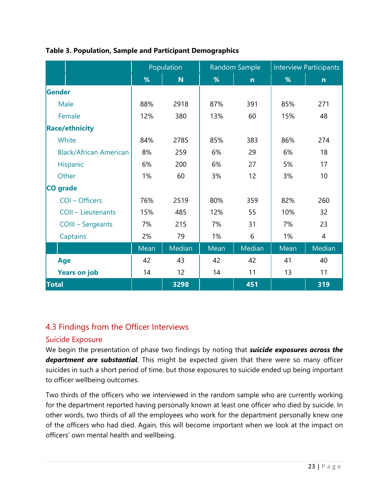|                               | Population |                 | Random Sample |              | <b>Interview Participants</b> |                |
|-------------------------------|------------|-----------------|---------------|--------------|-------------------------------|----------------|
|                               | %          | N               | %             | $\mathsf{n}$ | %                             | $\mathsf{n}$   |
| Gender                        |            |                 |               |              |                               |                |
| Male                          | 88%        | 2918            | 87%           | 391          | 85%                           | 271            |
| Female                        | 12%        | 380             | 13%           | 60           | 15%                           | 48             |
| <b>Race/ethnicity</b>         |            |                 |               |              |                               |                |
| White                         | 84%        | 2785            | 85%           | 383          | 86%                           | 274            |
| <b>Black/African American</b> | 8%         | 259             | 6%            | 29           | 6%                            | 18             |
| Hispanic                      | 6%         | 200             | 6%            | 27           | 5%                            | 17             |
| Other                         | 1%         | 60              | 3%            | 12           | 3%                            | 10             |
| CO grade                      |            |                 |               |              |                               |                |
| COI - Officers                | 76%        | 2519            | 80%           | 359          | 82%                           | 260            |
| <b>COII - Lieutenants</b>     | 15%        | 485             | 12%           | 55           | 10%                           | 32             |
| <b>COIII - Sergeants</b>      | 7%         | 215             | 7%            | 31           | 7%                            | 23             |
| Captains                      | 2%         | 79              | 1%            | 6            | 1%                            | $\overline{4}$ |
|                               | Mean       | Median          | Mean          | Median       | Mean                          | Median         |
| Age                           | 42         | 43              | 42            | 42           | 41                            | 40             |
| <b>Years on job</b>           | 14         | 12 <sub>2</sub> | 14            | 11           | 13                            | 11             |
| <b>Total</b>                  |            | 3298            |               | 451          |                               | 319            |

### **Table 3. Population, Sample and Participant Demographics**

## <span id="page-26-0"></span>4.3 Findings from the Officer Interviews

#### <span id="page-26-1"></span>Suicide Exposure

We begin the presentation of phase two findings by noting that *suicide exposures across the department are substantial*. This might be expected given that there were so many officer suicides in such a short period of time, but those exposures to suicide ended up being important to officer wellbeing outcomes.

Two thirds of the officers who we interviewed in the random sample who are currently working for the department reported having personally known at least one officer who died by suicide. In other words, two thirds of all the employees who work for the department personally knew one of the officers who had died. Again, this will become important when we look at the impact on officers' own mental health and wellbeing.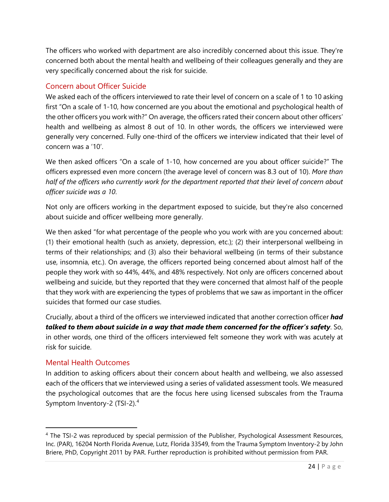The officers who worked with department are also incredibly concerned about this issue. They're concerned both about the mental health and wellbeing of their colleagues generally and they are very specifically concerned about the risk for suicide.

### <span id="page-27-0"></span>Concern about Officer Suicide

We asked each of the officers interviewed to rate their level of concern on a scale of 1 to 10 asking first "On a scale of 1-10, how concerned are you about the emotional and psychological health of the other officers you work with?" On average, the officers rated their concern about other officers' health and wellbeing as almost 8 out of 10. In other words, the officers we interviewed were generally very concerned. Fully one-third of the officers we interview indicated that their level of concern was a '10'.

We then asked officers "On a scale of 1-10, how concerned are you about officer suicide?" The officers expressed even more concern (the average level of concern was 8.3 out of 10). *More than half of the officers who currently work for the department reported that their level of concern about officer suicide was a 10*.

Not only are officers working in the department exposed to suicide, but they're also concerned about suicide and officer wellbeing more generally.

We then asked "for what percentage of the people who you work with are you concerned about: (1) their emotional health (such as anxiety, depression, etc.); (2) their interpersonal wellbeing in terms of their relationships; and (3) also their behavioral wellbeing (in terms of their substance use, insomnia, etc.). On average, the officers reported being concerned about almost half of the people they work with so 44%, 44%, and 48% respectively. Not only are officers concerned about wellbeing and suicide, but they reported that they were concerned that almost half of the people that they work with are experiencing the types of problems that we saw as important in the officer suicides that formed our case studies.

Crucially, about a third of the officers we interviewed indicated that another correction officer *had talked to them about suicide in a way that made them concerned for the officer's safety*. So, in other words, one third of the officers interviewed felt someone they work with was acutely at risk for suicide.

#### <span id="page-27-1"></span>Mental Health Outcomes

In addition to asking officers about their concern about health and wellbeing, we also assessed each of the officers that we interviewed using a series of validated assessment tools. We measured the psychological outcomes that are the focus here using licensed subscales from the Trauma Symptom Inventory-2 (TSI-2).[4](#page-27-2)

<span id="page-27-2"></span><sup>4</sup> The TSI-2 was reproduced by special permission of the Publisher, Psychological Assessment Resources, Inc. (PAR), 16204 North Florida Avenue, Lutz, Florida 33549, from the Trauma Symptom Inventory-2 by John Briere, PhD, Copyright 2011 by PAR. Further reproduction is prohibited without permission from PAR.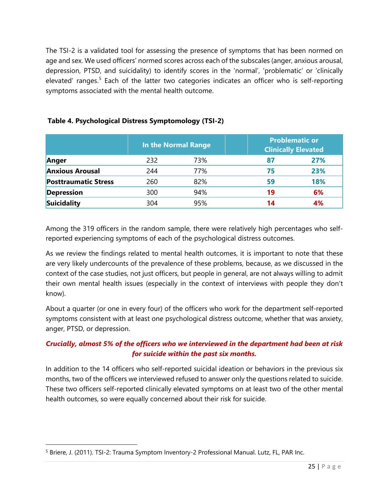The TSI-2 is a validated tool for assessing the presence of symptoms that has been normed on age and sex. We used officers' normed scores across each of the subscales (anger, anxious arousal, depression, PTSD, and suicidality) to identify scores in the 'normal', 'problematic' or 'clinically elevated' ranges.<sup>[5](#page-28-0)</sup> Each of the latter two categories indicates an officer who is self-reporting symptoms associated with the mental health outcome.

|                             | In the Normal Range |     |    | <b>Problematic or</b><br><b>Clinically Elevated</b> |  |  |
|-----------------------------|---------------------|-----|----|-----------------------------------------------------|--|--|
| Anger                       | 232                 | 73% | 87 | 27%                                                 |  |  |
| <b>Anxious Arousal</b>      | 244                 | 77% | 75 | 23%                                                 |  |  |
| <b>Posttraumatic Stress</b> | 260                 | 82% | 59 | 18%                                                 |  |  |
| <b>Depression</b>           | 300                 | 94% | 19 | 6%                                                  |  |  |
| Suicidality                 | 304                 | 95% | 14 | 4%                                                  |  |  |

#### **Table 4. Psychological Distress Symptomology (TSI-2)**

Among the 319 officers in the random sample, there were relatively high percentages who selfreported experiencing symptoms of each of the psychological distress outcomes.

As we review the findings related to mental health outcomes, it is important to note that these are very likely undercounts of the prevalence of these problems, because, as we discussed in the context of the case studies, not just officers, but people in general, are not always willing to admit their own mental health issues (especially in the context of interviews with people they don't know).

About a quarter (or one in every four) of the officers who work for the department self-reported symptoms consistent with at least one psychological distress outcome, whether that was anxiety, anger, PTSD, or depression.

### *Crucially, almost 5% of the officers who we interviewed in the department had been at risk for suicide within the past six months.*

In addition to the 14 officers who self-reported suicidal ideation or behaviors in the previous six months, two of the officers we interviewed refused to answer only the questions related to suicide. These two officers self-reported clinically elevated symptoms on at least two of the other mental health outcomes, so were equally concerned about their risk for suicide.

<span id="page-28-0"></span><sup>5</sup> Briere, J. (2011). TSI-2: Trauma Symptom Inventory-2 Professional Manual. Lutz, FL, PAR Inc.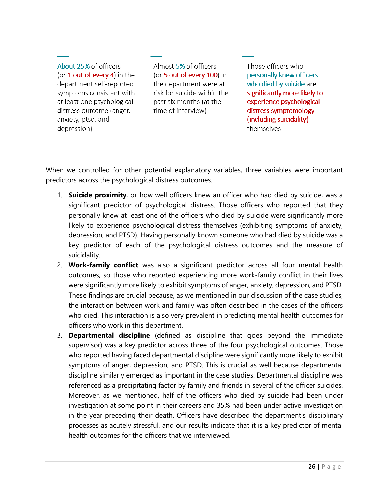About 25% of officers (or  $1$  out of every 4) in the department self-reported symptoms consistent with at least one psychological distress outcome (anger, anxiety, ptsd, and depression)

Almost 5% of officers (or 5 out of every 100) in the department were at risk for suicide within the past six months (at the time of interview)

Those officers who personally knew officers who died by suicide are significantly more likely to experience psychological distress symptomology (including suicidality) themselves

When we controlled for other potential explanatory variables, three variables were important predictors across the psychological distress outcomes.

- 1. **Suicide proximity**, or how well officers knew an officer who had died by suicide, was a significant predictor of psychological distress. Those officers who reported that they personally knew at least one of the officers who died by suicide were significantly more likely to experience psychological distress themselves (exhibiting symptoms of anxiety, depression, and PTSD). Having personally known someone who had died by suicide was a key predictor of each of the psychological distress outcomes and the measure of suicidality.
- 2. **Work-family conflict** was also a significant predictor across all four mental health outcomes, so those who reported experiencing more work-family conflict in their lives were significantly more likely to exhibit symptoms of anger, anxiety, depression, and PTSD. These findings are crucial because, as we mentioned in our discussion of the case studies, the interaction between work and family was often described in the cases of the officers who died. This interaction is also very prevalent in predicting mental health outcomes for officers who work in this department.
- 3. **Departmental discipline** (defined as discipline that goes beyond the immediate supervisor) was a key predictor across three of the four psychological outcomes. Those who reported having faced departmental discipline were significantly more likely to exhibit symptoms of anger, depression, and PTSD. This is crucial as well because departmental discipline similarly emerged as important in the case studies. Departmental discipline was referenced as a precipitating factor by family and friends in several of the officer suicides. Moreover, as we mentioned, half of the officers who died by suicide had been under investigation at some point in their careers and 35% had been under active investigation in the year preceding their death. Officers have described the department's disciplinary processes as acutely stressful, and our results indicate that it is a key predictor of mental health outcomes for the officers that we interviewed.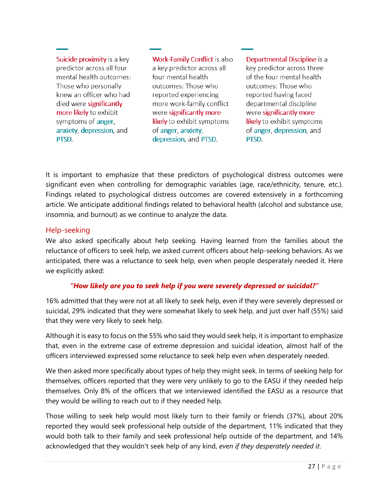Suicide proximity is a key predictor across all four mental health outcomes: Those who personally knew an officer who had died were significantly more likely to exhibit symptoms of anger, anxiety, depression, and PTSD.

**Work-Family Conflict is also** a key predictor across all four mental health outcomes: Those who reported experiencing more work-family conflict were significantly more likely to exhibit symptoms of anger, anxiety depression, and PTSD.

Departmental Discipline is a key predictor across three of the four mental health outcomes: Those who reported having faced departmental discipline were significantly more likely to exhibit symptoms of anger, depression, and PTSD.

It is important to emphasize that these predictors of psychological distress outcomes were significant even when controlling for demographic variables (age, race/ethnicity, tenure, etc.). Findings related to psychological distress outcomes are covered extensively in a forthcoming article. We anticipate additional findings related to behavioral health (alcohol and substance use, insomnia, and burnout) as we continue to analyze the data.

#### <span id="page-30-0"></span>Help-seeking

We also asked specifically about help seeking. Having learned from the families about the reluctance of officers to seek help, we asked current officers about help-seeking behaviors. As we anticipated, there was a reluctance to seek help, even when people desperately needed it. Here we explicitly asked:

#### *"How likely are you to seek help if you were severely depressed or suicidal?"*

16% admitted that they were not at all likely to seek help, even if they were severely depressed or suicidal, 29% indicated that they were somewhat likely to seek help, and just over half (55%) said that they were very likely to seek help.

Although it is easy to focus on the 55% who said they would seek help, it is important to emphasize that, even in the extreme case of extreme depression and suicidal ideation, almost half of the officers interviewed expressed some reluctance to seek help even when desperately needed.

We then asked more specifically about types of help they might seek. In terms of seeking help for themselves, officers reported that they were very unlikely to go to the EASU if they needed help themselves. Only 8% of the officers that we interviewed identified the EASU as a resource that they would be willing to reach out to if they needed help.

Those willing to seek help would most likely turn to their family or friends (37%), about 20% reported they would seek professional help outside of the department, 11% indicated that they would both talk to their family and seek professional help outside of the department, and 14% acknowledged that they wouldn't seek help of any kind, *even if they desperately needed it*.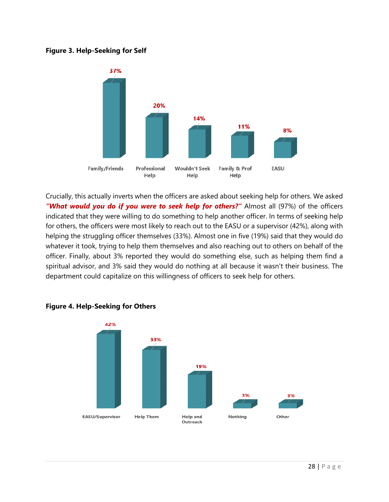#### **Figure 3. Help-Seeking for Self**



Crucially, this actually inverts when the officers are asked about seeking help for others. We asked *"What would you do if you were to seek help for others?"* Almost all (97%) of the officers indicated that they were willing to do something to help another officer. In terms of seeking help for others, the officers were most likely to reach out to the EASU or a supervisor (42%), along with helping the struggling officer themselves (33%). Almost one in five (19%) said that they would do whatever it took, trying to help them themselves and also reaching out to others on behalf of the officer. Finally, about 3% reported they would do something else, such as helping them find a spiritual advisor, and 3% said they would do nothing at all because it wasn't their business. The department could capitalize on this willingness of officers to seek help for others.



#### **Figure 4. Help-Seeking for Others**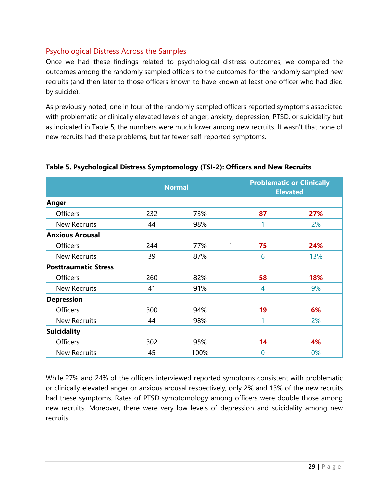### <span id="page-32-0"></span>Psychological Distress Across the Samples

Once we had these findings related to psychological distress outcomes, we compared the outcomes among the randomly sampled officers to the outcomes for the randomly sampled new recruits (and then later to those officers known to have known at least one officer who had died by suicide).

As previously noted, one in four of the randomly sampled officers reported symptoms associated with problematic or clinically elevated levels of anger, anxiety, depression, PTSD, or suicidality but as indicated in Table 5, the numbers were much lower among new recruits. It wasn't that none of new recruits had these problems, but far fewer self-reported symptoms.

|                             | <b>Normal</b> |      | <b>Problematic or Clinically</b><br><b>Elevated</b> |     |
|-----------------------------|---------------|------|-----------------------------------------------------|-----|
| Anger                       |               |      |                                                     |     |
| Officers                    | 232           | 73%  | 87                                                  | 27% |
| <b>New Recruits</b>         | 44            | 98%  | 1                                                   | 2%  |
| <b>Anxious Arousal</b>      |               |      |                                                     |     |
| <b>Officers</b>             | 244           | 77%  | $\boldsymbol{\mathsf{v}}$<br>75                     | 24% |
| <b>New Recruits</b>         | 39            | 87%  | 6                                                   | 13% |
| <b>Posttraumatic Stress</b> |               |      |                                                     |     |
| <b>Officers</b>             | 260           | 82%  | 58                                                  | 18% |
| <b>New Recruits</b>         | 41            | 91%  | 4                                                   | 9%  |
| <b>Depression</b>           |               |      |                                                     |     |
| <b>Officers</b>             | 300           | 94%  | 19                                                  | 6%  |
| <b>New Recruits</b>         | 44            | 98%  | 1                                                   | 2%  |
| <b>Suicidality</b>          |               |      |                                                     |     |
| Officers                    | 302           | 95%  | 14                                                  | 4%  |
| <b>New Recruits</b>         | 45            | 100% | $\overline{0}$                                      | 0%  |

#### **Table 5. Psychological Distress Symptomology (TSI-2): Officers and New Recruits**

While 27% and 24% of the officers interviewed reported symptoms consistent with problematic or clinically elevated anger or anxious arousal respectively, only 2% and 13% of the new recruits had these symptoms. Rates of PTSD symptomology among officers were double those among new recruits. Moreover, there were very low levels of depression and suicidality among new recruits.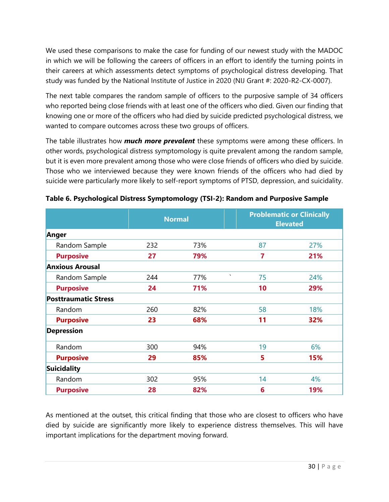We used these comparisons to make the case for funding of our newest study with the MADOC in which we will be following the careers of officers in an effort to identify the turning points in their careers at which assessments detect symptoms of psychological distress developing. That study was funded by the National Institute of Justice in 2020 (NIJ Grant #: 2020-R2-CX-0007).

The next table compares the random sample of officers to the purposive sample of 34 officers who reported being close friends with at least one of the officers who died. Given our finding that knowing one or more of the officers who had died by suicide predicted psychological distress, we wanted to compare outcomes across these two groups of officers.

The table illustrates how *much more prevalent* these symptoms were among these officers. In other words, psychological distress symptomology is quite prevalent among the random sample, but it is even more prevalent among those who were close friends of officers who died by suicide. Those who we interviewed because they were known friends of the officers who had died by suicide were particularly more likely to self-report symptoms of PTSD, depression, and suicidality.

|                             | <b>Normal</b> |     | <b>Problematic or Clinically</b><br><b>Elevated</b> |     |
|-----------------------------|---------------|-----|-----------------------------------------------------|-----|
| Anger                       |               |     |                                                     |     |
| Random Sample               | 232           | 73% | 87                                                  | 27% |
| <b>Purposive</b>            | 27            | 79% | 7                                                   | 21% |
| <b>Anxious Arousal</b>      |               |     |                                                     |     |
| Random Sample               | 244           | 77% | $\boldsymbol{\mathsf{v}}$<br>75                     | 24% |
| <b>Purposive</b>            | 24            | 71% | 10                                                  | 29% |
| <b>Posttraumatic Stress</b> |               |     |                                                     |     |
| Random                      | 260           | 82% | 58                                                  | 18% |
| <b>Purposive</b>            | 23            | 68% | 11                                                  | 32% |
| <b>Depression</b>           |               |     |                                                     |     |
| Random                      | 300           | 94% | 19                                                  | 6%  |
| <b>Purposive</b>            | 29            | 85% | 5                                                   | 15% |
| <b>Suicidality</b>          |               |     |                                                     |     |
| Random                      | 302           | 95% | 14                                                  | 4%  |
| <b>Purposive</b>            | 28            | 82% | 6                                                   | 19% |

**Table 6. Psychological Distress Symptomology (TSI-2): Random and Purposive Sample**

As mentioned at the outset, this critical finding that those who are closest to officers who have died by suicide are significantly more likely to experience distress themselves. This will have important implications for the department moving forward.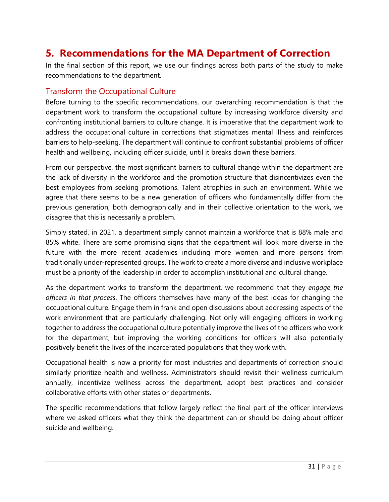# <span id="page-34-0"></span>**5. Recommendations for the MA Department of Correction**

In the final section of this report, we use our findings across both parts of the study to make recommendations to the department.

### <span id="page-34-1"></span>Transform the Occupational Culture

Before turning to the specific recommendations, our overarching recommendation is that the department work to transform the occupational culture by increasing workforce diversity and confronting institutional barriers to culture change. It is imperative that the department work to address the occupational culture in corrections that stigmatizes mental illness and reinforces barriers to help-seeking. The department will continue to confront substantial problems of officer health and wellbeing, including officer suicide, until it breaks down these barriers.

From our perspective, the most significant barriers to cultural change within the department are the lack of diversity in the workforce and the promotion structure that disincentivizes even the best employees from seeking promotions. Talent atrophies in such an environment. While we agree that there seems to be a new generation of officers who fundamentally differ from the previous generation, both demographically and in their collective orientation to the work, we disagree that this is necessarily a problem.

Simply stated, in 2021, a department simply cannot maintain a workforce that is 88% male and 85% white. There are some promising signs that the department will look more diverse in the future with the more recent academies including more women and more persons from traditionally under-represented groups. The work to create a more diverse and inclusive workplace must be a priority of the leadership in order to accomplish institutional and cultural change.

As the department works to transform the department, we recommend that they *engage the officers in that process*. The officers themselves have many of the best ideas for changing the occupational culture. Engage them in frank and open discussions about addressing aspects of the work environment that are particularly challenging. Not only will engaging officers in working together to address the occupational culture potentially improve the lives of the officers who work for the department, but improving the working conditions for officers will also potentially positively benefit the lives of the incarcerated populations that they work with.

Occupational health is now a priority for most industries and departments of correction should similarly prioritize health and wellness. Administrators should revisit their wellness curriculum annually, incentivize wellness across the department, adopt best practices and consider collaborative efforts with other states or departments.

The specific recommendations that follow largely reflect the final part of the officer interviews where we asked officers what they think the department can or should be doing about officer suicide and wellbeing.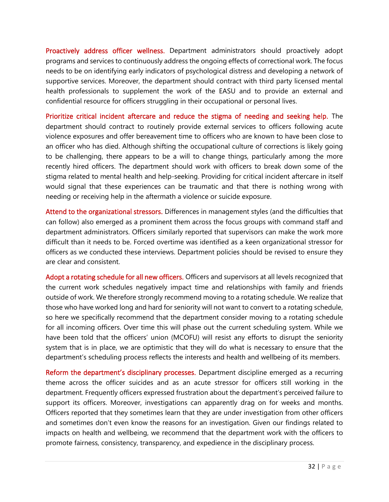<span id="page-35-0"></span>Proactively address officer wellness. Department administrators should proactively adopt programs and services to continuously address the ongoing effects of correctional work. The focus needs to be on identifying early indicators of psychological distress and developing a network of supportive services. Moreover, the department should contract with third party licensed mental health professionals to supplement the work of the EASU and to provide an external and confidential resource for officers struggling in their occupational or personal lives.

<span id="page-35-1"></span>Prioritize critical incident aftercare and reduce the stigma of needing and seeking help. The department should contract to routinely provide external services to officers following acute violence exposures and offer bereavement time to officers who are known to have been close to an officer who has died. Although shifting the occupational culture of corrections is likely going to be challenging, there appears to be a will to change things, particularly among the more recently hired officers. The department should work with officers to break down some of the stigma related to mental health and help-seeking. Providing for critical incident aftercare in itself would signal that these experiences can be traumatic and that there is nothing wrong with needing or receiving help in the aftermath a violence or suicide exposure.

<span id="page-35-2"></span>Attend to the organizational stressors. Differences in management styles (and the difficulties that can follow) also emerged as a prominent them across the focus groups with command staff and department administrators. Officers similarly reported that supervisors can make the work more difficult than it needs to be. Forced overtime was identified as a keen organizational stressor for officers as we conducted these interviews. Department policies should be revised to ensure they are clear and consistent.

<span id="page-35-3"></span>Adopt a rotating schedule for all new officers. Officers and supervisors at all levels recognized that the current work schedules negatively impact time and relationships with family and friends outside of work. We therefore strongly recommend moving to a rotating schedule. We realize that those who have worked long and hard for seniority will not want to convert to a rotating schedule, so here we specifically recommend that the department consider moving to a rotating schedule for all incoming officers. Over time this will phase out the current scheduling system. While we have been told that the officers' union (MCOFU) will resist any efforts to disrupt the seniority system that is in place, we are optimistic that they will do what is necessary to ensure that the department's scheduling process reflects the interests and health and wellbeing of its members.

<span id="page-35-4"></span>Reform the department's disciplinary processes. Department discipline emerged as a recurring theme across the officer suicides and as an acute stressor for officers still working in the department. Frequently officers expressed frustration about the department's perceived failure to support its officers. Moreover, investigations can apparently drag on for weeks and months. Officers reported that they sometimes learn that they are under investigation from other officers and sometimes don't even know the reasons for an investigation. Given our findings related to impacts on health and wellbeing, we recommend that the department work with the officers to promote fairness, consistency, transparency, and expedience in the disciplinary process.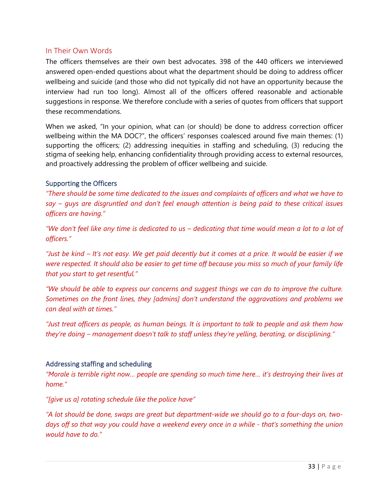#### <span id="page-36-0"></span>In Their Own Words

The officers themselves are their own best advocates. 398 of the 440 officers we interviewed answered open-ended questions about what the department should be doing to address officer wellbeing and suicide (and those who did not typically did not have an opportunity because the interview had run too long). Almost all of the officers offered reasonable and actionable suggestions in response. We therefore conclude with a series of quotes from officers that support these recommendations.

When we asked, "In your opinion, what can (or should) be done to address correction officer wellbeing within the MA DOC?", the officers' responses coalesced around five main themes: (1) supporting the officers; (2) addressing inequities in staffing and scheduling, (3) reducing the stigma of seeking help, enhancing confidentiality through providing access to external resources, and proactively addressing the problem of officer wellbeing and suicide.

#### <span id="page-36-1"></span>Supporting the Officers

*"There should be some time dedicated to the issues and complaints of officers and what we have to say – guys are disgruntled and don't feel enough attention is being paid to these critical issues officers are having."*

*"We don't feel like any time is dedicated to us – dedicating that time would mean a lot to a lot of officers."*

*"Just be kind – It's not easy. We get paid decently but it comes at a price. It would be easier if we were respected. It should also be easier to get time off because you miss so much of your family life that you start to get resentful."*

*"We should be able to express our concerns and suggest things we can do to improve the culture. Sometimes on the front lines, they [admins] don't understand the aggravations and problems we can deal with at times."*

*"Just treat officers as people, as human beings. It is important to talk to people and ask them how they're doing – management doesn't talk to staff unless they're yelling, berating, or disciplining."* 

#### <span id="page-36-2"></span>Addressing staffing and scheduling

*"Morale is terrible right now… people are spending so much time here… it's destroying their lives at home."*

*"[give us a] rotating schedule like the police have"*

*"A lot should be done, swaps are great but department-wide we should go to a four-days on, twodays off so that way you could have a weekend every once in a while - that's something the union would have to do."*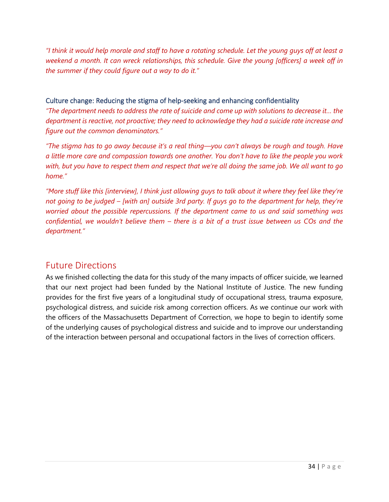*"I think it would help morale and staff to have a rotating schedule. Let the young guys off at least a weekend a month. It can wreck relationships, this schedule. Give the young [officers] a week off in the summer if they could figure out a way to do it."*

#### <span id="page-37-0"></span>Culture change: Reducing the stigma of help-seeking and enhancing confidentiality

*"The department needs to address the rate of suicide and come up with solutions to decrease it… the department is reactive, not proactive; they need to acknowledge they had a suicide rate increase and figure out the common denominators."*

*"The stigma has to go away because it's a real thing—you can't always be rough and tough. Have a little more care and compassion towards one another. You don't have to like the people you work with, but you have to respect them and respect that we're all doing the same job. We all want to go home."*

*"More stuff like this [interview], I think just allowing guys to talk about it where they feel like they're not going to be judged – [with an] outside 3rd party. If guys go to the department for help, they're worried about the possible repercussions. If the department came to us and said something was confidential, we wouldn't believe them – there is a bit of a trust issue between us COs and the department."*

## <span id="page-37-1"></span>Future Directions

As we finished collecting the data for this study of the many impacts of officer suicide, we learned that our next project had been funded by the National Institute of Justice. The new funding provides for the first five years of a longitudinal study of occupational stress, trauma exposure, psychological distress, and suicide risk among correction officers. As we continue our work with the officers of the Massachusetts Department of Correction, we hope to begin to identify some of the underlying causes of psychological distress and suicide and to improve our understanding of the interaction between personal and occupational factors in the lives of correction officers.